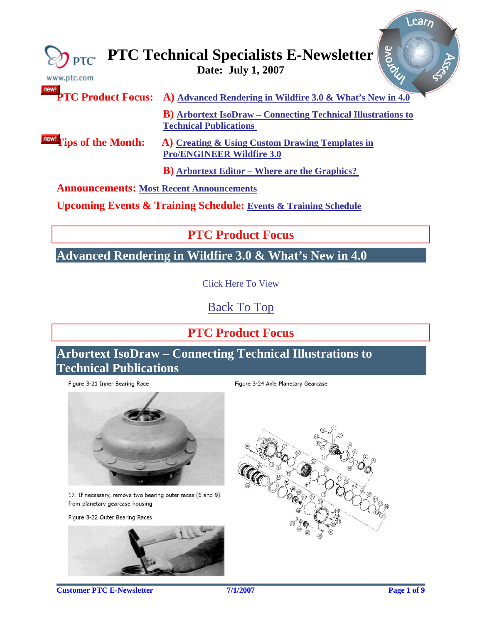<span id="page-0-0"></span>

| Riove<br><b>PTC Technical Specialists E-Newsletter</b><br>Date: July 1, 2007<br>www.ptc.com |                                                                                                       |
|---------------------------------------------------------------------------------------------|-------------------------------------------------------------------------------------------------------|
| new!                                                                                        | <b>PTC Product Focus:</b> A) Advanced Rendering in Wildfire 3.0 & What's New in 4.0                   |
|                                                                                             | <b>B</b> ) Arbortext IsoDraw – Connecting Technical Illustrations to<br><b>Technical Publications</b> |
| <b>IDEW!</b> Tips of the Month:                                                             | A) Creating & Using Custom Drawing Templates in<br><b>Pro/ENGINEER Wildfire 3.0</b>                   |
|                                                                                             | <b>B</b> ) Arbortext Editor – Where are the Graphics?                                                 |
| <b>Announcements: Most Recent Announcements</b>                                             |                                                                                                       |

**Upcoming Events & Training Schedule: [Events & Training Schedule](#page-7-0)**

**PTC Product Focus** 

**Advanced Rendering in Wildfire 3.0 & What's New in 4.0** 

[Click Here To View](http://members.shaw.ca/jpeng/newsletter/PTC_Technical_Specialists_E-Newsletter_07-01-2007_desktop.pdf)

[Back To Top](#page-0-0)

# **PTC Product Focus**

**Arbortext IsoDraw – Connecting Technical Illustrations to Technical Publications** 

Figure 3-21 Inner Bearing Race



17. If necessary, remove two bearing outer races (6 and 9) from planetary gearcase housing.

Figure 3-22 Outer Bearing Races



Figure 3-24 Axle Planetary Gearcase



**Customer PTC E-Newsletter** *PTC* **<b>Page 1** of 9 **Page 1** of 9

Learn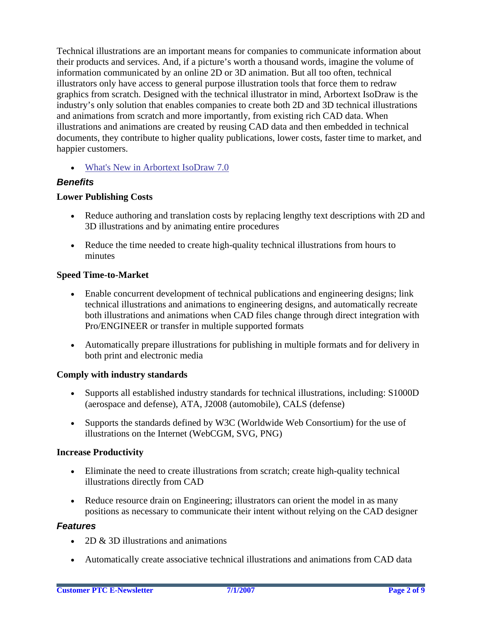Technical illustrations are an important means for companies to communicate information about their products and services. And, if a picture's worth a thousand words, imagine the volume of information communicated by an online 2D or 3D animation. But all too often, technical illustrators only have access to general purpose illustration tools that force them to redraw graphics from scratch. Designed with the technical illustrator in mind, Arbortext IsoDraw is the industry's only solution that enables companies to create both 2D and 3D technical illustrations and animations from scratch and more importantly, from existing rich CAD data. When illustrations and animations are created by reusing CAD data and then embedded in technical documents, they contribute to higher quality publications, lower costs, faster time to market, and happier customers.

• [What's New in Arbortext IsoDraw 7.0](http://www.ptc.com/products/arbortext/isodraw/whatsnew.htm) 

### *Benefits*

### **Lower Publishing Costs**

- Reduce authoring and translation costs by replacing lengthy text descriptions with 2D and 3D illustrations and by animating entire procedures
- Reduce the time needed to create high-quality technical illustrations from hours to minutes

### **Speed Time-to-Market**

- Enable concurrent development of technical publications and engineering designs; link technical illustrations and animations to engineering designs, and automatically recreate both illustrations and animations when CAD files change through direct integration with Pro/ENGINEER or transfer in multiple supported formats
- Automatically prepare illustrations for publishing in multiple formats and for delivery in both print and electronic media

### **Comply with industry standards**

- Supports all established industry standards for technical illustrations, including: S1000D (aerospace and defense), ATA, J2008 (automobile), CALS (defense)
- Supports the standards defined by W3C (Worldwide Web Consortium) for the use of illustrations on the Internet (WebCGM, SVG, PNG)

### **Increase Productivity**

- Eliminate the need to create illustrations from scratch; create high-quality technical illustrations directly from CAD
- Reduce resource drain on Engineering; illustrators can orient the model in as many positions as necessary to communicate their intent without relying on the CAD designer

## *Features*

- 2D & 3D illustrations and animations
- Automatically create associative technical illustrations and animations from CAD data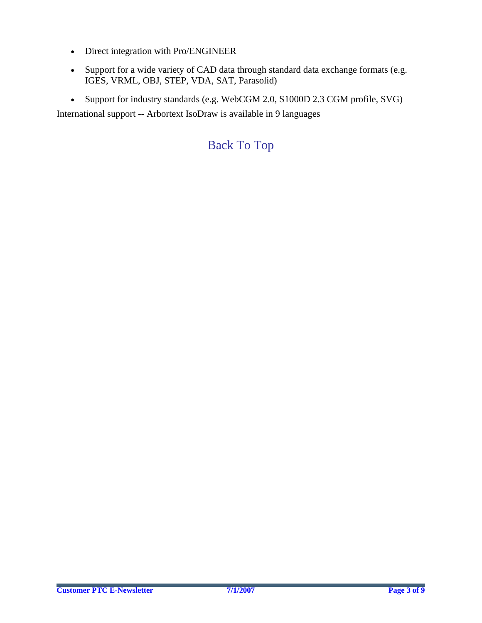- Direct integration with Pro/ENGINEER
- Support for a wide variety of CAD data through standard data exchange formats (e.g. IGES, VRML, OBJ, STEP, VDA, SAT, Parasolid)
- Support for industry standards (e.g. WebCGM 2.0, S1000D 2.3 CGM profile, SVG)

International support -- Arbortext IsoDraw is available in 9 languages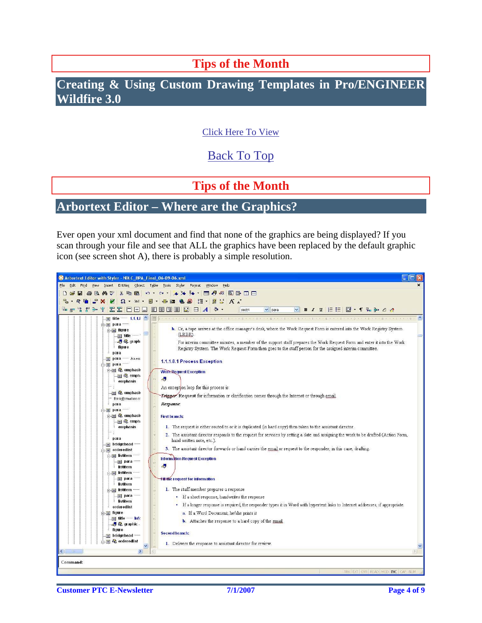# **Tips of the Month**

# <span id="page-3-0"></span>**Creating & Using Custom Drawing Templates in Pro/ENGINEER Wildfire 3.0**

## [Click Here To View](http://members.shaw.ca/jpeng/newsletter/PTC_Technical_Specialists_E-Newsletter_07-01-2007_desktop.pdf)

# [Back To Top](#page-0-0)

# **Tips of the Month**

## **Arbortext Editor – Where are the Graphics?**

Ever open your xml document and find that none of the graphics are being displayed? If you scan through your file and see that ALL the graphics have been replaced by the default graphic icon (see screen shot A), there is probably a simple resolution.

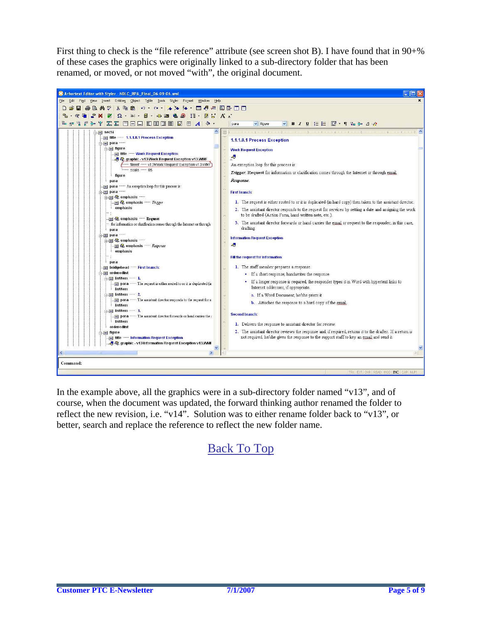First thing to check is the "file reference" attribute (see screen shot B). I have found that in 90+% of these cases the graphics were originally linked to a sub-directory folder that has been renamed, or moved, or not moved "with", the original document.



In the example above, all the graphics were in a sub-directory folder named "v13", and of course, when the document was updated, the forward thinking author renamed the folder to reflect the new revision, i.e. "v14". Solution was to either rename folder back to "v13", or better, search and replace the reference to reflect the new folder name.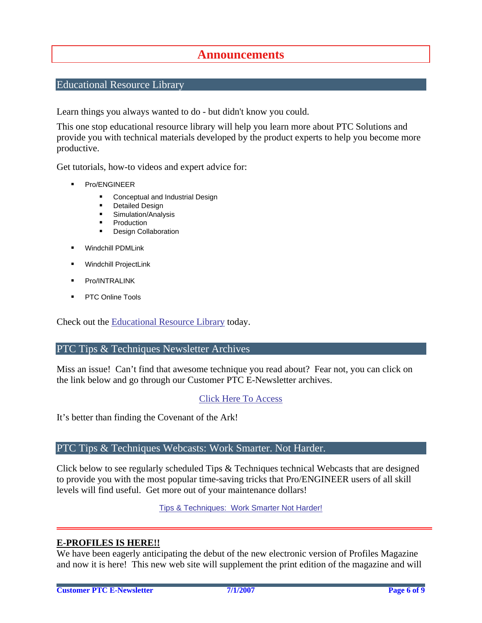## **Announcements**

### <span id="page-5-0"></span>Educational Resource Library

Learn things you always wanted to do - but didn't know you could.

This one stop educational resource library will help you learn more about PTC Solutions and provide you with technical materials developed by the product experts to help you become more productive.

Get tutorials, how-to videos and expert advice for:

- **Pro/ENGINEER** 
	- **EXECONCEPT** Conceptual and Industrial Design
	- **•** Detailed Design
	- **Simulation/Analysis**
	- Production
	- Design Collaboration
- Windchill PDMLink
- Windchill ProjectLink
- Pro/INTRALINK
- PTC Online Tools

Check out the [Educational Resource Library](http://www.ptc.com/community/proewf/newtools/tutorials.htm) today.

### PTC Tips & Techniques Newsletter Archives

Miss an issue! Can't find that awesome technique you read about? Fear not, you can click on the link below and go through our Customer PTC E-Newsletter archives.

### [Click Here To Access](http://www.ptc.com/carezone/archive/index.htm)

It's better than finding the Covenant of the Ark!

### PTC Tips & Techniques Webcasts: Work Smarter. Not Harder.

Click below to see regularly scheduled Tips & Techniques technical Webcasts that are designed to provide you with the most popular time-saving tricks that Pro/ENGINEER users of all skill levels will find useful. Get more out of your maintenance dollars!

Tips & Techniques: Work Smarter Not Harder!

### **E-PROFILES IS HERE!!**

We have been eagerly anticipating the debut of the new electronic version of Profiles Magazine and now it is here! This new web site will supplement the print edition of the magazine and will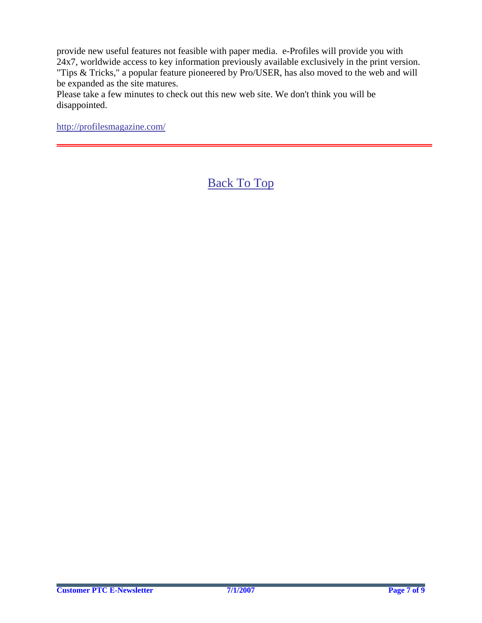provide new useful features not feasible with paper media. e-Profiles will provide you with 24x7, worldwide access to key information previously available exclusively in the print version. "Tips & Tricks," a popular feature pioneered by Pro/USER, has also moved to the web and will be expanded as the site matures.

Please take a few minutes to check out this new web site. We don't think you will be disappointed.

<http://profilesmagazine.com/>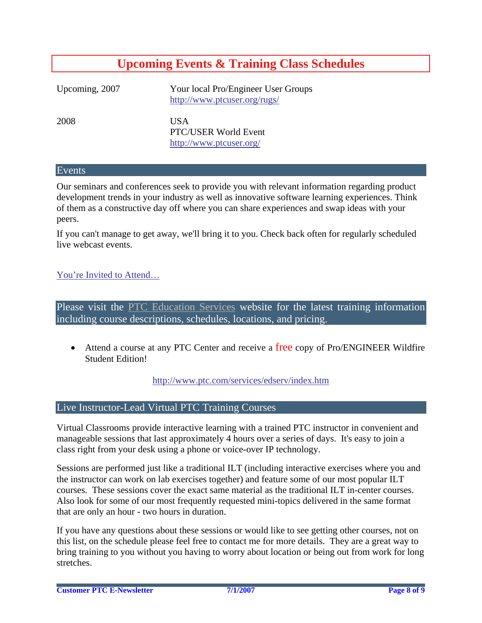# **Upcoming Events & Training Class Schedules**

<span id="page-7-0"></span>Upcoming, 2007 Your local Pro/Engineer User Groups http://www.ptcuser.org/rugs/

2008 USA PTC/USER World Event <http://www.ptcuser.org/>

#### Events

Our seminars and conferences seek to provide you with relevant information regarding product development trends in your industry as well as innovative software learning experiences. Think of them as a constructive day off where you can share experiences and swap ideas with your peers.

If you can't manage to get away, we'll bring it to you. Check back often for regularly scheduled live webcast events.

### [You're Invited to Attend…](http://www.ptc.com/company/news/events/index.htm)

Please visit the [PTC Education Services](http://www.ptc.com/services/edserv/) website for the latest training information including course descriptions, schedules, locations, and pricing.

• Attend a course at any PTC Center and receive a free copy of Pro/ENGINEER Wildfire Student Edition!

<http://www.ptc.com/services/edserv/index.htm>

### Live Instructor-Lead Virtual PTC Training Courses

Virtual Classrooms provide interactive learning with a trained PTC instructor in convenient and manageable sessions that last approximately 4 hours over a series of days. It's easy to join a class right from your desk using a phone or voice-over IP technology.

Sessions are performed just like a traditional ILT (including interactive exercises where you and the instructor can work on lab exercises together) and feature some of our most popular ILT courses. These sessions cover the exact same material as the traditional ILT in-center courses. Also look for some of our most frequently requested mini-topics delivered in the same format that are only an hour - two hours in duration.

If you have any questions about these sessions or would like to see getting other courses, not on this list, on the schedule please feel free to contact me for more details. They are a great way to bring training to you without you having to worry about location or being out from work for long stretches.